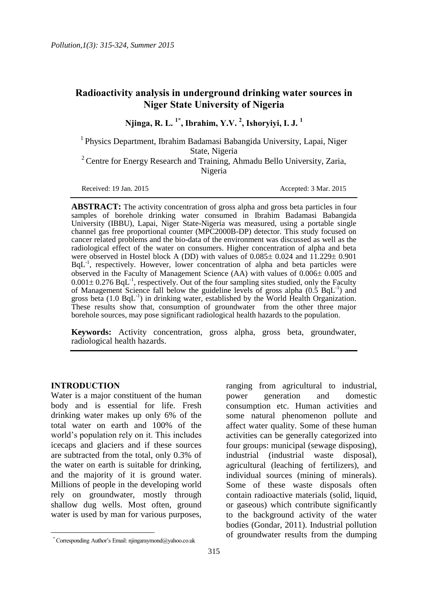# **Radioactivity analysis in underground drinking water sources in Niger State University of Nigeria**

**Njinga, R. L. 1\* , Ibrahim, Y.V. <sup>2</sup> , Ishoryiyi, I. J. <sup>1</sup>**

<sup>1</sup> Physics Department, Ibrahim Badamasi Babangida University, Lapai, Niger State, Nigeria

 $2^2$  Centre for Energy Research and Training, Ahmadu Bello University, Zaria, Nigeria

Received: 19 Jan. 2015 **Accepted: 3 Mar. 2015** 

**ABSTRACT:** The activity concentration of gross alpha and gross beta particles in four samples of borehole drinking water consumed in Ibrahim Badamasi Babangida University (IBBU), Lapai, Niger State-Nigeria was measured, using a portable single channel gas free proportional counter (MPC2000B-DP) detector. This study focused on cancer related problems and the bio-data of the environment was discussed as well as the radiological effect of the water on consumers. Higher concentration of alpha and beta were observed in Hostel block A (DD) with values of  $0.085 \pm 0.024$  and  $11.229 \pm 0.901$  $BqL^{-1}$ , respectively. However, lower concentration of alpha and beta particles were observed in the Faculty of Management Science (AA) with values of  $0.006 \pm 0.005$  and  $0.001 \pm 0.276$  BqL<sup>-1</sup>, respectively. Out of the four sampling sites studied, only the Faculty of Management Science fall below the guideline levels of gross alpha  $(0.5 \text{ BqL}^{-1})$  and gross beta  $(1.0 \text{ BqL}^{-1})$  in drinking water, established by the World Health Organization. These results show that, consumption of groundwater from the other three major borehole sources, may pose significant radiological health hazards to the population.

**Keywords:** Activity concentration, gross alpha, gross beta, groundwater, radiological health hazards.

# **INTRODUCTION**

l

Water is a major constituent of the human body and is essential for life. Fresh drinking water makes up only 6% of the total water on earth and 100% of the world's population rely on it. This includes icecaps and glaciers and if these sources are subtracted from the total, only 0.3% of the water on earth is suitable for drinking, and the majority of it is ground water. Millions of people in the developing world rely on groundwater, mostly through shallow dug wells. Most often, ground water is used by man for various purposes, ranging from agricultural to industrial, power generation and domestic consumption etc. Human activities and some natural phenomenon pollute and affect water quality. Some of these human activities can be generally categorized into four groups: municipal (sewage disposing), industrial (industrial waste disposal), agricultural (leaching of fertilizers), and individual sources (mining of minerals). Some of these waste disposals often contain radioactive materials (solid, liquid, or gaseous) which contribute significantly to the background activity of the water bodies (Gondar, 2011). Industrial pollution of groundwater results from the dumping

<sup>\*</sup> Corresponding Author's Email: njingaraymond@yahoo.co.uk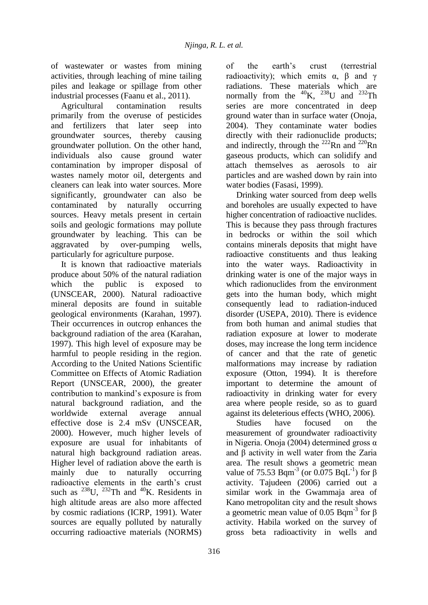of wastewater or wastes from mining activities, through leaching of mine tailing piles and leakage or spillage from other industrial processes (Faanu et al., 2011).

Agricultural contamination results primarily from the overuse of pesticides and fertilizers that later seep into groundwater sources, thereby causing groundwater pollution. On the other hand, individuals also cause ground water contamination by improper disposal of wastes namely motor oil, detergents and cleaners can leak into water sources. More significantly, groundwater can also be contaminated by naturally occurring sources. Heavy metals present in certain soils and geologic formations may pollute groundwater by leaching. This can be aggravated by over-pumping wells, particularly for agriculture purpose.

It is known that radioactive materials produce about 50% of the natural radiation which the public is exposed to (UNSCEAR, 2000). Natural radioactive mineral deposits are found in suitable geological environments (Karahan, 1997). Their occurrences in outcrop enhances the background radiation of the area (Karahan, 1997). This high level of exposure may be harmful to people residing in the region. According to the United Nations Scientific Committee on Effects of Atomic Radiation Report (UNSCEAR, 2000), the greater contribution to mankind's exposure is from natural background radiation, and the worldwide external average annual effective dose is 2.4 mSv (UNSCEAR, 2000). However, much higher levels of exposure are usual for inhabitants of natural high background radiation areas. Higher level of radiation above the earth is mainly due to naturally occurring radioactive elements in the earth's crust such as  $^{238}$ U,  $^{232}$ Th and  $^{40}$ K. Residents in high altitude areas are also more affected by cosmic radiations (ICRP, 1991). Water sources are equally polluted by naturally occurring radioactive materials (NORMS)

of the earth's crust (terrestrial radioactivity); which emits  $\alpha$ ,  $\beta$  and  $\gamma$ radiations. These materials which are normally from the  $^{40}$ K,  $^{238}$ U and  $^{232}$ Th series are more concentrated in deep ground water than in surface water (Onoja, 2004). They contaminate water bodies directly with their radionuclide products; and indirectly, through the  $^{222}$ Rn and  $^{220}$ Rn gaseous products, which can solidify and attach themselves as aerosols to air particles and are washed down by rain into water bodies (Fasasi, 1999).

Drinking water sourced from deep wells and boreholes are usually expected to have higher concentration of radioactive nuclides. This is because they pass through fractures in bedrocks or within the soil which contains minerals deposits that might have radioactive constituents and thus leaking into the water ways. Radioactivity in drinking water is one of the major ways in which radionuclides from the environment gets into the human body, which might consequently lead to radiation-induced disorder (USEPA, 2010). There is evidence from both human and animal studies that radiation exposure at lower to moderate doses, may increase the long term incidence of cancer and that the rate of genetic malformations may increase by radiation exposure (Otton, 1994). It is therefore important to determine the amount of radioactivity in drinking water for every area where people reside, so as to guard against its deleterious effects (WHO, 2006).

Studies have focused on the measurement of groundwater radioactivity in Nigeria. Onoja (2004) determined gross α and β activity in well water from the Zaria area. The result shows a geometric mean value of 75.53 Bqm<sup>-3</sup> (or 0.075 BqL<sup>-1</sup>) for β activity. Tajudeen (2006) carried out a similar work in the Gwammaja area of Kano metropolitan city and the result shows a geometric mean value of 0.05 Bqm<sup>-3</sup> for β activity. Habila worked on the survey of gross beta radioactivity in wells and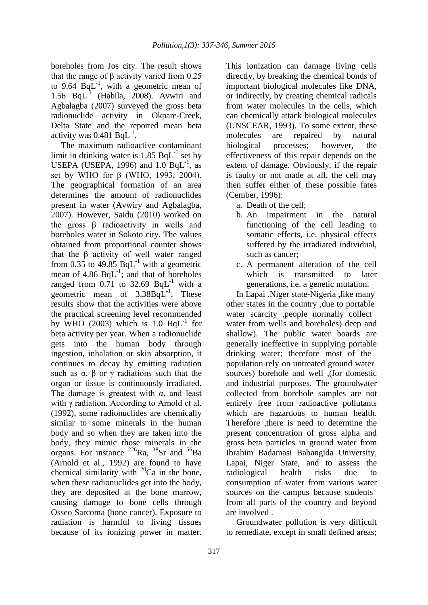boreholes from Jos city. The result shows that the range of β activity varied from 0.25 to 9.64  $BqL^{-1}$ , with a geometric mean of 1.56 BqL-1 (Habila, 2008). Avwiri and Agbalagba (2007) surveyed the gross beta radionuclide activity in Okpare-Creek, Delta State and the reported mean beta activity was  $0.481$  BqL<sup>-1</sup>.

The maximum radioactive contaminant limit in drinking water is  $1.85$  BqL<sup>-1</sup> set by USEPA (USEPA, 1996) and  $1.0$  BqL<sup>-1</sup>, as set by WHO for β (WHO, 1993, 2004). The geographical formation of an area determines the amount of radionuclides present in water (Avwiry and Agbalagba, 2007). However, Saidu (2010) worked on the gross β radioactivity in wells and boreholes water in Sokoto city. The values obtained from proportional counter shows that the β activity of well water ranged from 0.35 to 49.85  $BqL^{-1}$  with a geometric mean of 4.86  $BqL^{-1}$ ; and that of boreholes ranged from 0.71 to 32.69  $BqL^{-1}$  with a geometric mean of  $3.38BqL^{-1}$ . These results show that the activities were above the practical screening level recommended by WHO (2003) which is  $1.0$  BqL<sup>-1</sup> for beta activity per year. When a radionuclide gets into the human body through ingestion, inhalation or skin absorption, it continues to decay by emitting radiation such as  $\alpha$ ,  $\beta$  or  $\gamma$  radiations such that the organ or tissue is continuously irradiated. The damage is greatest with  $\alpha$ , and least with γ radiation. According to Arnold et al. (1992), some radionuclides are chemically similar to some minerals in the human body and so when they are taken into the body, they mimic those minerals in the organs. For instance  $^{226}Ra$ ,  $^{38}Sr$  and  $^{56}Ba$ (Arnold et al., 1992) are found to have chemical similarity with  $^{20}$ Ca in the bone, when these radionuclides get into the body, they are deposited at the bone marrow, causing damage to bone cells through Osseo Sarcoma (bone cancer). Exposure to radiation is harmful to living tissues because of its ionizing power in matter.

This ionization can damage living cells directly, by breaking the chemical bonds of important biological molecules like DNA, or indirectly, by creating chemical radicals from water molecules in the cells, which can chemically attack biological molecules (UNSCEAR, 1993). To some extent, these molecules are repaired by natural biological processes; however, the effectiveness of this repair depends on the extent of damage. Obviously, if the repair is faulty or not made at all, the cell may then suffer either of these possible fates (Cember, 1996):

- a. Death of the cell;
- b. An impairment in the natural functioning of the cell leading to somatic effects, i.e. physical effects suffered by the irradiated individual, such as cancer;
- c. A permanent alteration of the cell which is transmitted to later generations, i.e. a genetic mutation.

In Lapai ,Niger state-Nigeria ,like many other states in the country ,due to portable water scarcity ,people normally collect water from wells and boreholes) deep and shallow). The public water boards are generally ineffective in supplying portable drinking water; therefore most of the population rely on untreated ground water sources) borehole and well ,(for domestic and industrial purposes. The groundwater collected from borehole samples are not entirely free from radioactive pollutants which are hazardous to human health. Therefore ,there is need to determine the present concentration of gross alpha and gross beta particles in ground water from Ibrahim Badamasi Babangida University, Lapai, Niger State, and to assess the radiological health risks due to consumption of water from various water sources on the campus because students from all parts of the country and beyond are involved .

Groundwater pollution is very difficult to remediate, except in small defined areas;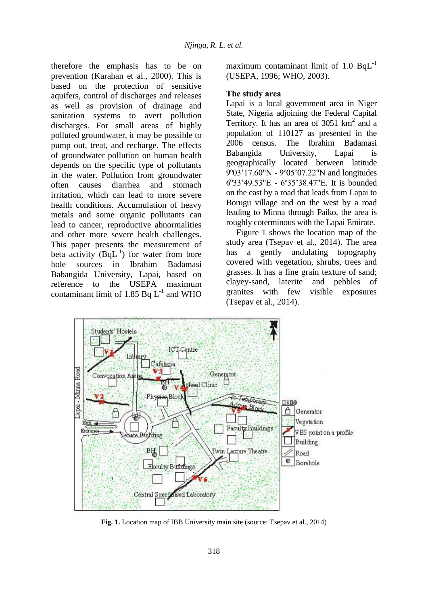therefore the emphasis has to be on prevention (Karahan et al., 2000). This is based on the protection of sensitive aquifers, control of discharges and releases as well as provision of drainage and sanitation systems to avert pollution discharges. For small areas of highly polluted groundwater, it may be possible to pump out, treat, and recharge. The effects of groundwater pollution on human health depends on the specific type of pollutants in the water. Pollution from groundwater often causes diarrhea and stomach irritation, which can lead to more severe health conditions. Accumulation of heavy metals and some organic pollutants can lead to cancer, reproductive abnormalities and other more severe health challenges. This paper presents the measurement of beta activity  $(BqL^{-1})$  for water from bore hole sources in Ibrahim Badamasi Babangida University, Lapai, based on reference to the USEPA maximum contaminant limit of 1.85  $Bq L^{-1}$  and WHO

maximum contaminant limit of 1.0 BqL<sup>-1</sup> (USEPA, 1996; WHO, 2003).

# **The study area**

Lapai is a local government area in Niger State, Nigeria adjoining the Federal Capital Territory. It has an area of  $3051 \text{ km}^2$  and a population of 110127 as presented in the 2006 census. The Ibrahim Badamasi Babangida University, Lapai is geographically located between latitude 9º03'17.60"N - 9º05'07.22"N and longitudes 6º33'49.53"E - 6º35'38.47"E. It is bounded on the east by a road that leads from Lapai to Borugu village and on the west by a road leading to Minna through Paiko, the area is roughly coterminous with the Lapai Emirate.

Figure 1 shows the location map of the study area (Tsepav et al., 2014). The area has a gently undulating topography covered with vegetation, shrubs, trees and grasses. It has a fine grain texture of sand; clayey-sand, laterite and pebbles of granites with few visible exposures (Tsepav et al., 2014).



**Fig. 1.** Location map of IBB University main site (source: Tsepav et al., 2014)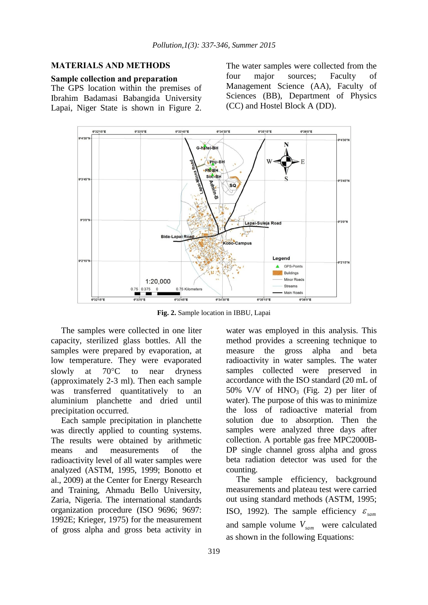# **MATERIALS AND METHODS**

#### **Sample collection and preparation**

The GPS location within the premises of Ibrahim Badamasi Babangida University Lapai, Niger State is shown in Figure 2. The water samples were collected from the four major sources; Faculty of Management Science (AA), Faculty of Sciences (BB), Department of Physics (CC) and Hostel Block A (DD).



**Fig. 2.** Sample location in IBBU, Lapai

The samples were collected in one liter capacity, sterilized glass bottles. All the samples were prepared by evaporation, at low temperature. They were evaporated slowly at  $70^{\circ}$ C to near dryness (approximately 2-3 ml). Then each sample was transferred quantitatively to an aluminium planchette and dried until precipitation occurred.

Each sample precipitation in planchette was directly applied to counting systems. The results were obtained by arithmetic means and measurements of the radioactivity level of all water samples were analyzed (ASTM, 1995, 1999; Bonotto et al., 2009) at the Center for Energy Research and Training, Ahmadu Bello University, Zaria, Nigeria. The international standards organization procedure (ISO 9696; 9697: 1992E; Krieger, 1975) for the measurement of gross alpha and gross beta activity in

water was employed in this analysis. This method provides a screening technique to measure the gross alpha and beta radioactivity in water samples. The water samples collected were preserved in accordance with the ISO standard (20 mL of 50% V/V of  $HNO<sub>3</sub>$  (Fig. 2) per liter of water). The purpose of this was to minimize the loss of radioactive material from solution due to absorption. Then the samples were analyzed three days after collection. A portable gas free MPC2000B-DP single channel gross alpha and gross beta radiation detector was used for the counting.

The sample efficiency, background measurements and plateau test were carried out using standard methods (ASTM, 1995; ISO, 1992). The sample efficiency  $\varepsilon_{\text{sam}}$ and sample volume *Vsam* were calculated as shown in the following Equations: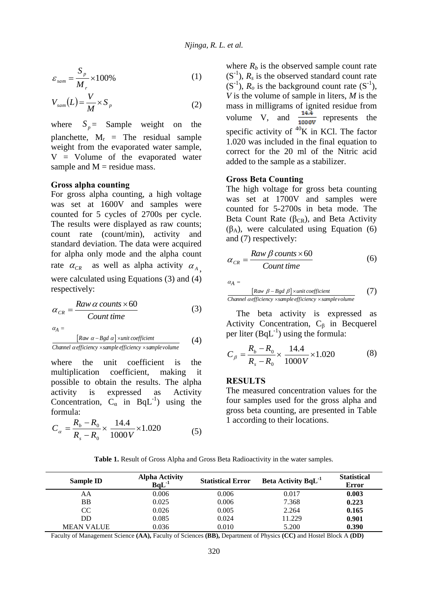$$
\varepsilon_{\text{sam}} = \frac{S_p}{M_r} \times 100\% \tag{1}
$$

$$
V_{sam}(L) = \frac{V}{M} \times S_p \tag{2}
$$

where  $S_p$  = Sample weight on the planchette,  $M_r$  = The residual sample weight from the evaporated water sample, V = Volume of the evaporated water sample and  $M$  = residue mass.

# **Gross alpha counting**

For gross alpha counting, a high voltage was set at 1600V and samples were counted for 5 cycles of 2700s per cycle. The results were displayed as raw counts; count rate (count/min), activity and standard deviation. The data were acquired for alpha only mode and the alpha count rate  $\alpha_{CR}$  as well as alpha activity  $\alpha_{A}$ , were calculated using Equations (3) and (4) respectively:

$$
\alpha_{CR} = \frac{Raw \alpha \text{ counts} \times 60}{Count \text{ time}}
$$
(3)  

$$
\alpha_A = [Row \alpha - Bgd \alpha] \times unit \text{ coefficient}
$$
(4)

$$
\frac{[Raw \ \alpha - Bgd \ \alpha] \times unit \ coefficient}{\text{Channel } \alpha \text{ efficiency} \times sample \ efficiency \times sample \, volume} \tag{4}
$$

where the unit coefficient is the multiplication coefficient, making it possible to obtain the results. The alpha activity is expressed as Activity Concentration,  $C_{\alpha}$  in BqL<sup>-1</sup>) using the formula:

$$
C_{\alpha} = \frac{R_b - R_0}{R_s - R_0} \times \frac{14.4}{1000 V} \times 1.020
$$
 (5)

where  $R_b$  is the observed sample count rate  $(S^{-1})$ ,  $R_s$  is the observed standard count rate  $(S^{-1})$ ,  $R_o$  is the background count rate  $(S^{-1})$ , *V* is the volume of sample in liters, *M* is the mass in milligrams of ignited residue from volume V, and  $\frac{14.4}{1000V}$  represents the specific activity of  ${}^{40}$ K in KCl. The factor 1.020 was included in the final equation to correct for the 20 ml of the Nitric acid added to the sample as a stabilizer.

#### **Gross Beta Counting**

The high voltage for gross beta counting was set at 1700V and samples were counted for 5-2700s in beta mode. The Beta Count Rate ( $\beta_{CR}$ ), and Beta Activity  $(\beta_A)$ , were calculated using Equation (6) and (7) respectively:

$$
\alpha_{CR} = \frac{Raw \beta \, counts \times 60}{Count \, time}
$$
 (6)

 $\alpha_A =$ 

$$
\frac{a_A -}{\text{Channel } \text{aefficiency} \times \text{sample } \text{efficient}} \tag{7}
$$
\nChannel `acfficiency` \times \text{sample } \text{effective} \times \text{sample } \text{volume}

The beta activity is expressed as Activity Concentration,  $C_{\beta}$  in Becquerel per liter  $(BqL^{-1})$  using the formula:

$$
C_{\beta} = \frac{R_b - R_0}{R_s - R_0} \times \frac{14.4}{1000 V} \times 1.020
$$
 (8)

# **RESULTS**

The measured concentration values for the four samples used for the gross alpha and gross beta counting, are presented in Table 1 according to their locations.

**Table 1.** Result of Gross Alpha and Gross Beta Radioactivity in the water samples.

| <b>Sample ID</b>  | <b>Alpha Activity</b><br>$BqL-1$ | <b>Statistical Error</b> | <b>Beta Activity BqL<sup>-1</sup></b> | <b>Statistical</b><br>Error |
|-------------------|----------------------------------|--------------------------|---------------------------------------|-----------------------------|
| AA                | 0.006                            | 0.006                    | 0.017                                 | 0.003                       |
| BB                | 0.025                            | 0.006                    | 7.368                                 | 0.223                       |
| CC                | 0.026                            | 0.005                    | 2.264                                 | 0.165                       |
| DD                | 0.085                            | 0.024                    | 11.229                                | 0.901                       |
| <b>MEAN VALUE</b> | 0.036                            | 0.010                    | 5.200                                 | 0.390                       |

Faculty of Management Science **(AA),** Faculty of Sciences **(BB),** Department of Physics **(CC)** and Hostel Block A **(DD)**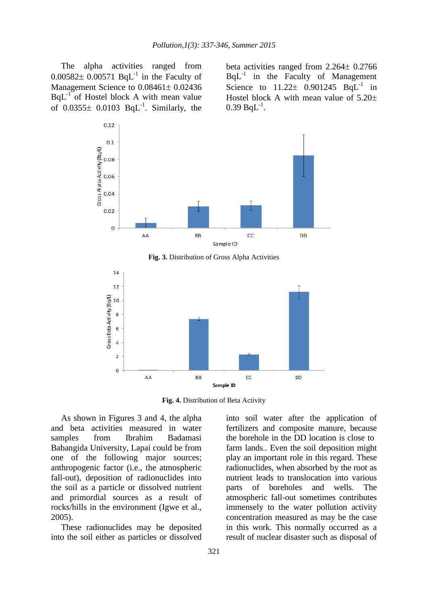The alpha activities ranged from  $0.00582 \pm 0.00571$  BqL<sup>-1</sup> in the Faculty of Management Science to  $0.08461 \pm 0.02436$  $BqL^{-1}$  of Hostel block A with mean value of  $0.0355\pm 0.0103$  BqL<sup>-1</sup>. Similarly, the beta activities ranged from  $2.264 \pm 0.2766$  $BqL^{-1}$  in the Faculty of Management Science to  $11.22 \pm 0.901245$  BqL<sup>-1</sup> in Hostel block A with mean value of  $5.20\pm$  $0.39$  BqL<sup>-1</sup>.



**Fig. 3.** Distribution of Gross Alpha Activities



**Fig. 4.** Distribution of Beta Activity

As shown in Figures 3 and 4, the alpha and beta activities measured in water samples from Ibrahim Badamasi Babangida University, Lapai could be from one of the following major sources; anthropogenic factor (i.e., the atmospheric fall-out), deposition of radionuclides into the soil as a particle or dissolved nutrient and primordial sources as a result of rocks/hills in the environment (Igwe et al., 2005).

These radionuclides may be deposited into the soil either as particles or dissolved

into soil water after the application of fertilizers and composite manure, because the borehole in the DD location is close to farm lands.. Even the soil deposition might play an important role in this regard. These radionuclides, when absorbed by the root as nutrient leads to translocation into various parts of boreholes and wells. The atmospheric fall-out sometimes contributes immensely to the water pollution activity concentration measured as may be the case in this work. This normally occurred as a result of nuclear disaster such as disposal of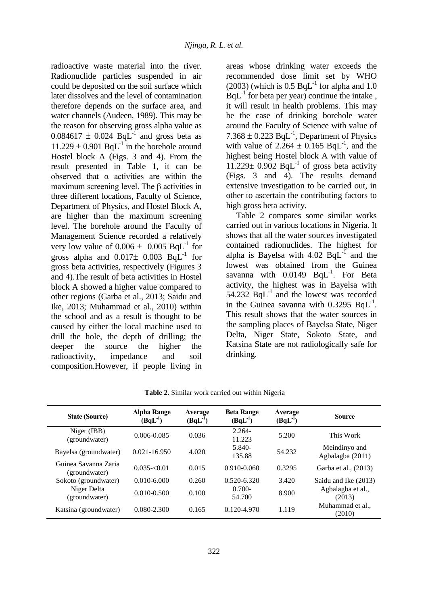radioactive waste material into the river. Radionuclide particles suspended in air could be deposited on the soil surface which later dissolves and the level of contamination therefore depends on the surface area, and water channels (Audeen, 1989). This may be the reason for observing gross alpha value as  $0.084617 \pm 0.024$  BqL<sup>-1</sup> and gross beta as  $11.229 \pm 0.901$  BqL<sup>-1</sup> in the borehole around Hostel block A (Figs. 3 and 4). From the result presented in Table 1, it can be observed that  $\alpha$  activities are within the maximum screening level. The β activities in three different locations, Faculty of Science, Department of Physics, and Hostel Block A, are higher than the maximum screening level. The borehole around the Faculty of Management Science recorded a relatively very low value of  $0.006 \pm 0.005$  BqL<sup>-1</sup> for gross alpha and  $0.017 \pm 0.003$  BqL<sup>-1</sup> for gross beta activities, respectively (Figures 3 and 4).The result of beta activities in Hostel block A showed a higher value compared to other regions (Garba et al., 2013; Saidu and Ike, 2013; Muhammad et al., 2010) within the school and as a result is thought to be caused by either the local machine used to drill the hole, the depth of drilling; the deeper the source the higher the radioactivity, impedance and soil composition.However, if people living in

areas whose drinking water exceeds the recommended dose limit set by WHO  $(2003)$  (which is 0.5 BqL<sup>-1</sup> for alpha and 1.0  $BqL^{-1}$  for beta per year) continue the intake, it will result in health problems. This may be the case of drinking borehole water around the Faculty of Science with value of 7.368  $\pm$  0.223 BqL<sup>-1</sup>, Department of Physics with value of  $2.264 \pm 0.165$  BqL<sup>-1</sup>, and the highest being Hostel block A with value of  $11.229 \pm 0.902$  BqL<sup>-1</sup> of gross beta activity (Figs. 3 and 4). The results demand extensive investigation to be carried out, in other to ascertain the contributing factors to high gross beta activity.

Table 2 compares some similar works carried out in various locations in Nigeria. It shows that all the water sources investigated contained radionuclides. The highest for alpha is Bayelsa with  $4.02$  BqL<sup>-1</sup> and the lowest was obtained from the Guinea savanna with  $0.0149$  BqL<sup>-1</sup>. For Beta activity, the highest was in Bayelsa with 54.232  $BqL^{-1}$  and the lowest was recorded in the Guinea savanna with  $0.3295$  BqL<sup>-1</sup>. This result shows that the water sources in the sampling places of Bayelsa State, Niger Delta, Niger State, Sokoto State, and Katsina State are not radiologically safe for drinking.

| <b>State (Source)</b>                 | <b>Alpha Range</b><br>$(BqL^{-1})$ | Average<br>$(BqL^{\text{-}})$ | <b>Beta Range</b><br>$(BqL-1)$ | Average<br>$(BqL^1)$ | Source                            |
|---------------------------------------|------------------------------------|-------------------------------|--------------------------------|----------------------|-----------------------------------|
| Niger (IBB)<br>(groundwater)          | $0.006 - 0.085$                    | 0.036                         | $2.264 -$<br>11.223            | 5.200                | This Work                         |
| Bayelsa (groundwater)                 | $0.021 - 16.950$                   | 4.020                         | $5.840-$<br>135.88             | 54.232               | Meindinyo and<br>Agbalagba (2011) |
| Guinea Savanna Zaria<br>(groundwater) | $0.035 - 0.01$                     | 0.015                         | $0.910 - 0.060$                | 0.3295               | Garba et al., (2013)              |
| Sokoto (groundwater)                  | $0.010 - 6.000$                    | 0.260                         | $0.520 - 6.320$                | 3.420                | Saidu and Ike (2013)              |
| Niger Delta<br>(groundwater)          | $0.010 - 0.500$                    | 0.100                         | $0.700 -$<br>54.700            | 8.900                | Agbalagba et al.,<br>(2013)       |
| Katsina (groundwater)                 | $0.080 - 2.300$                    | 0.165                         | $0.120 - 4.970$                | 1.119                | Muhammad et al<br>(2010)          |

**Table 2.** Similar work carried out within Nigeria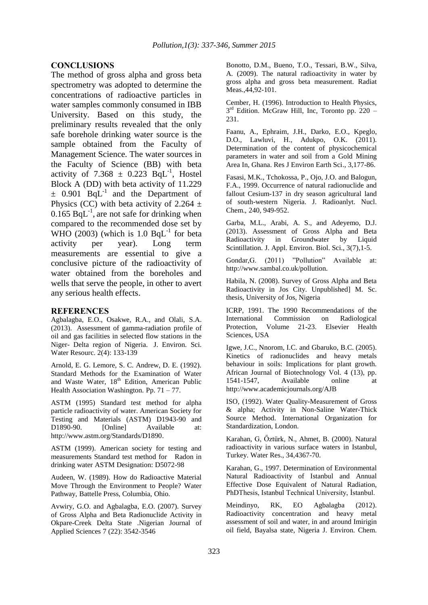#### **CONCLUSIONS**

The method of gross alpha and gross beta spectrometry was adopted to determine the concentrations of radioactive particles in water samples commonly consumed in IBB University. Based on this study, the preliminary results revealed that the only safe borehole drinking water source is the sample obtained from the Faculty of Management Science. The water sources in the Faculty of Science (BB) with beta activity of  $7.368 \pm 0.223$  BqL<sup>-1</sup>, Hostel Block A (DD) with beta activity of 11.229  $\pm$  0.901 BqL<sup>-1</sup> and the Department of Physics (CC) with beta activity of 2.264  $\pm$  $0.165$  BqL<sup>-1</sup>, are not safe for drinking when compared to the recommended dose set by WHO (2003) (which is  $1.0$  BqL<sup>-1</sup> for beta activity per year). Long term measurements are essential to give a conclusive picture of the radioactivity of water obtained from the boreholes and wells that serve the people, in other to avert any serious health effects.

#### **REFERENCES**

Agbalagba, E.O., Osakwe, R.A., and Olali, S.A. (2013). Assessment of gamma-radiation profile of oil and gas facilities in selected flow stations in the Niger- Delta region of Nigeria. J. Environ. Sci. Water Resourc. 2(4): 133-139

Arnold, E. G. Lemore, S. C. Andrew, D. E. (1992). Standard Methods for the Examination of Water and Waste Water, 18<sup>th</sup> Edition, American Public Health Association Washington. Pp.  $71 - 77$ .

ASTM (1995) Standard test method for alpha particle radioactivity of water. American Society for Testing and Materials (ASTM) D1943-90 and D1890-90. [Online] Available at: http://www.astm.org/Standards/D1890.

ASTM (1999). American society for testing and measurements Standard test method for Radon in drinking water ASTM Designation: D5072-98

Audeen, W. (1989). How do Radioactive Material Move Through the Environment to People? Water Pathway, Battelle Press, Columbia, Ohio.

Avwiry, G.O. and Agbalagba, E.O. (2007). Survey of Gross Alpha and Beta Radionuclide Activity in Okpare-Creek Delta State .Nigerian Journal of Applied Sciences 7 (22): 3542-3546

Bonotto, D.M., Bueno, T.O., Tessari, B.W., Silva, A. (2009). The natural radioactivity in water by gross alpha and gross beta measurement. Radiat Meas.,44,92-101.

Cember, H. (1996). Introduction to Health Physics, 3<sup>rd</sup> Edition. McGraw Hill, Inc, Toronto pp. 220 -231.

Faanu, A., Ephraim, J.H., Darko, E.O., Kpeglo, D.O., Lawluvi, H., Adukpo, O.K. (2011). Determination of the content of physicochemical parameters in water and soil from a Gold Mining Area In, Ghana. Res J Environ Earth Sci., 3,177-86.

Fasasi, M.K., Tchokossa, P., Ojo, J.O. and Balogun, F.A., 1999. Occurrence of natural radionuclide and fallout Cesium-137 in dry season agricultural land of south-western Nigeria. J. Radioanlyt. Nucl. Chem., 240, 949-952.

Garba, M.L., Arabi, A. S., and Adeyemo, D.J. (2013). Assessment of Gross Alpha and Beta Radioactivity in Groundwater by Liquid Scintillation. J. Appl. Environ. Biol. Sci., 3(7), 1-5.

Gondar,G. (2011) "Pollution" Available at: http://www.sambal.co.uk/pollution.

Habila, N. (2008). Survey of Gross Alpha and Beta Radioactivity in Jos City. Unpublished] M. Sc. thesis, University of Jos, Nigeria

ICRP, 1991. The 1990 Recommendations of the International Commission on Radiological Protection, Volume 21-23. Elsevier Health Sciences, USA

Igwe, J.C., Nnorom, I.C. and Gbaruko, B.C. (2005). Kinetics of radionuclides and heavy metals behaviour in soils: Implications for plant growth. African Journal of Biotechnology Vol. 4 (13), pp. 1541-1547, Available online at http://www.academicjournals.org/AJB

ISO, (1992). Water Quality-Measurement of Gross & alpha; Activity in Non-Saline Water-Thick Source Method. International Organization for Standardization, London.

Karahan, G, Őztürk, N., Ahmet, B. (2000). Natural radioactivity in various surface waters in Istanbul, Turkey. Water Res., 34,4367-70.

Karahan, G., 1997. Determination of Environmental Natural Radioactivity of Istanbul and Annual Effective Dose Equivalent of Natural Radiation, PhDThesis, Istanbul Technical University, İstanbul.

Meindinyo, RK, EO Agbalagba (2012). Radioactivity concentration and heavy metal assessment of soil and water, in and around Imirigin oil field, Bayalsa state, Nigeria J. Environ. Chem.